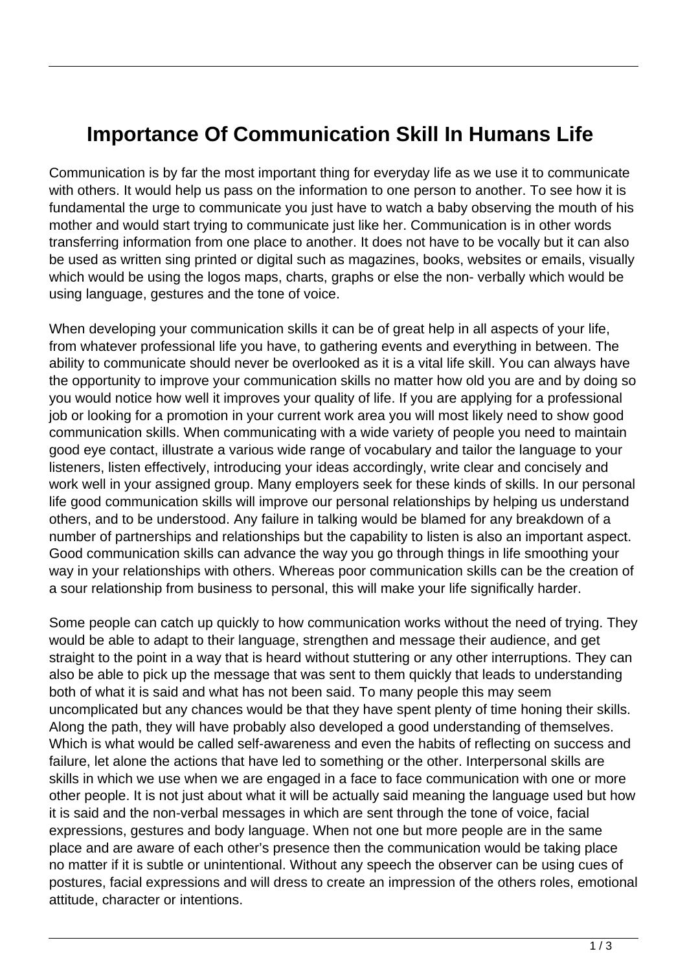## **Importance Of Communication Skill In Humans Life**

Communication is by far the most important thing for everyday life as we use it to communicate with others. It would help us pass on the information to one person to another. To see how it is fundamental the urge to communicate you just have to watch a baby observing the mouth of his mother and would start trying to communicate just like her. Communication is in other words transferring information from one place to another. It does not have to be vocally but it can also be used as written sing printed or digital such as magazines, books, websites or emails, visually which would be using the logos maps, charts, graphs or else the non- verbally which would be using language, gestures and the tone of voice.

When developing your communication skills it can be of great help in all aspects of your life, from whatever professional life you have, to gathering events and everything in between. The ability to communicate should never be overlooked as it is a vital life skill. You can always have the opportunity to improve your communication skills no matter how old you are and by doing so you would notice how well it improves your quality of life. If you are applying for a professional job or looking for a promotion in your current work area you will most likely need to show good communication skills. When communicating with a wide variety of people you need to maintain good eye contact, illustrate a various wide range of vocabulary and tailor the language to your listeners, listen effectively, introducing your ideas accordingly, write clear and concisely and work well in your assigned group. Many employers seek for these kinds of skills. In our personal life good communication skills will improve our personal relationships by helping us understand others, and to be understood. Any failure in talking would be blamed for any breakdown of a number of partnerships and relationships but the capability to listen is also an important aspect. Good communication skills can advance the way you go through things in life smoothing your way in your relationships with others. Whereas poor communication skills can be the creation of a sour relationship from business to personal, this will make your life significally harder.

Some people can catch up quickly to how communication works without the need of trying. They would be able to adapt to their language, strengthen and message their audience, and get straight to the point in a way that is heard without stuttering or any other interruptions. They can also be able to pick up the message that was sent to them quickly that leads to understanding both of what it is said and what has not been said. To many people this may seem uncomplicated but any chances would be that they have spent plenty of time honing their skills. Along the path, they will have probably also developed a good understanding of themselves. Which is what would be called self-awareness and even the habits of reflecting on success and failure, let alone the actions that have led to something or the other. Interpersonal skills are skills in which we use when we are engaged in a face to face communication with one or more other people. It is not just about what it will be actually said meaning the language used but how it is said and the non-verbal messages in which are sent through the tone of voice, facial expressions, gestures and body language. When not one but more people are in the same place and are aware of each other's presence then the communication would be taking place no matter if it is subtle or unintentional. Without any speech the observer can be using cues of postures, facial expressions and will dress to create an impression of the others roles, emotional attitude, character or intentions.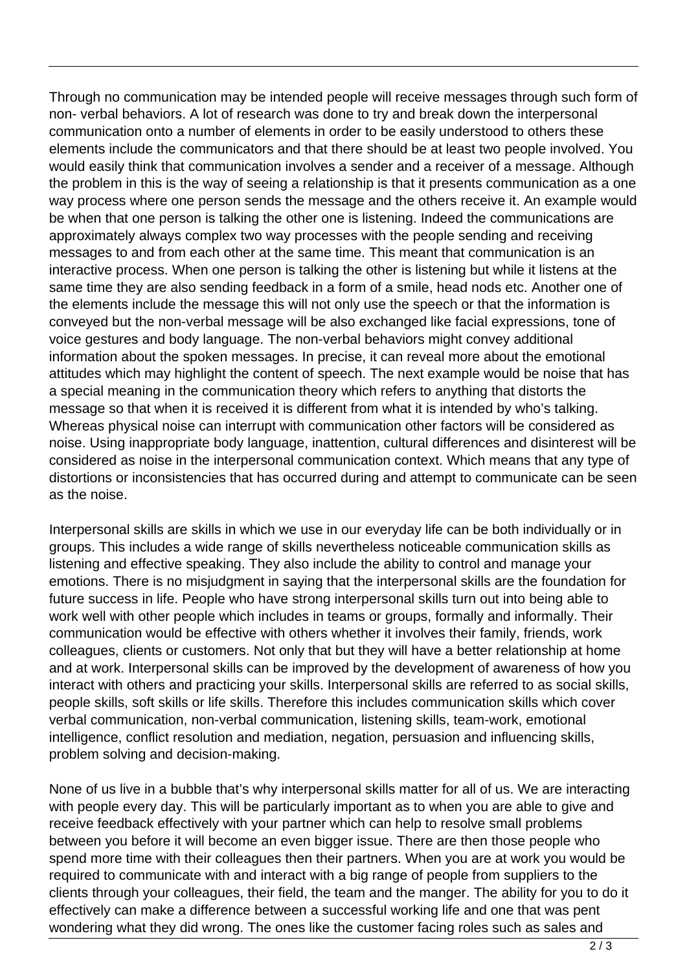Through no communication may be intended people will receive messages through such form of non- verbal behaviors. A lot of research was done to try and break down the interpersonal communication onto a number of elements in order to be easily understood to others these elements include the communicators and that there should be at least two people involved. You would easily think that communication involves a sender and a receiver of a message. Although the problem in this is the way of seeing a relationship is that it presents communication as a one way process where one person sends the message and the others receive it. An example would be when that one person is talking the other one is listening. Indeed the communications are approximately always complex two way processes with the people sending and receiving messages to and from each other at the same time. This meant that communication is an interactive process. When one person is talking the other is listening but while it listens at the same time they are also sending feedback in a form of a smile, head nods etc. Another one of the elements include the message this will not only use the speech or that the information is conveyed but the non-verbal message will be also exchanged like facial expressions, tone of voice gestures and body language. The non-verbal behaviors might convey additional information about the spoken messages. In precise, it can reveal more about the emotional attitudes which may highlight the content of speech. The next example would be noise that has a special meaning in the communication theory which refers to anything that distorts the message so that when it is received it is different from what it is intended by who's talking. Whereas physical noise can interrupt with communication other factors will be considered as noise. Using inappropriate body language, inattention, cultural differences and disinterest will be considered as noise in the interpersonal communication context. Which means that any type of distortions or inconsistencies that has occurred during and attempt to communicate can be seen as the noise.

Interpersonal skills are skills in which we use in our everyday life can be both individually or in groups. This includes a wide range of skills nevertheless noticeable communication skills as listening and effective speaking. They also include the ability to control and manage your emotions. There is no misjudgment in saying that the interpersonal skills are the foundation for future success in life. People who have strong interpersonal skills turn out into being able to work well with other people which includes in teams or groups, formally and informally. Their communication would be effective with others whether it involves their family, friends, work colleagues, clients or customers. Not only that but they will have a better relationship at home and at work. Interpersonal skills can be improved by the development of awareness of how you interact with others and practicing your skills. Interpersonal skills are referred to as social skills, people skills, soft skills or life skills. Therefore this includes communication skills which cover verbal communication, non-verbal communication, listening skills, team-work, emotional intelligence, conflict resolution and mediation, negation, persuasion and influencing skills, problem solving and decision-making.

None of us live in a bubble that's why interpersonal skills matter for all of us. We are interacting with people every day. This will be particularly important as to when you are able to give and receive feedback effectively with your partner which can help to resolve small problems between you before it will become an even bigger issue. There are then those people who spend more time with their colleagues then their partners. When you are at work you would be required to communicate with and interact with a big range of people from suppliers to the clients through your colleagues, their field, the team and the manger. The ability for you to do it effectively can make a difference between a successful working life and one that was pent wondering what they did wrong. The ones like the customer facing roles such as sales and